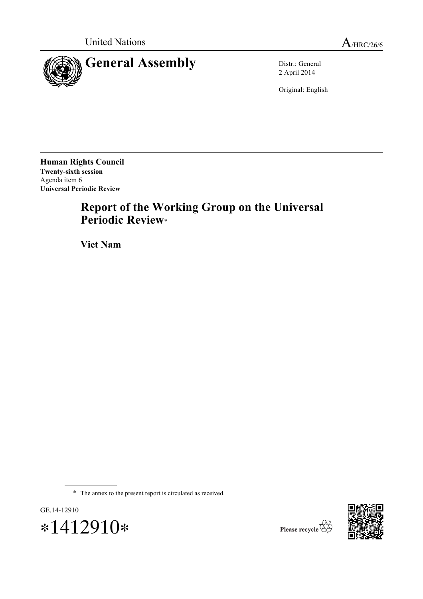



2 April 2014

Original: English

**Human Rights Council Twenty-sixth session**  Agenda item 6 **Universal Periodic Review** 

# **Report of the Working Group on the Universal Periodic Review**\*

**Viet Nam**

\* The annex to the present report is circulated as received.





Please recycle  $\overline{\mathcal{C}}$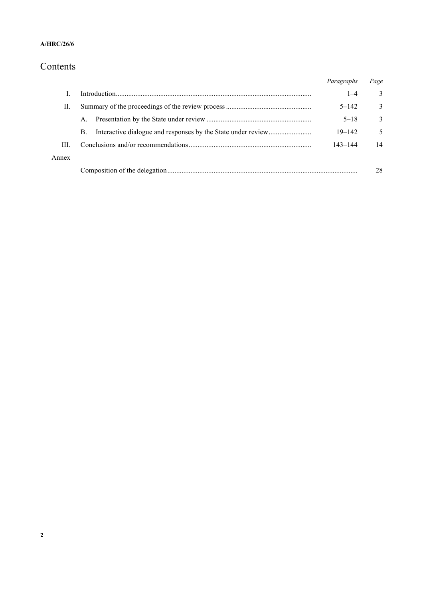# Contents

|       |    | Paragraphs  | Page |
|-------|----|-------------|------|
|       |    | $1 - 4$     | 3    |
| II.   |    | $5 - 142$   | 3    |
|       | A. | $5 - 18$    | 3    |
|       | B. | $19 - 142$  | 5    |
| III.  |    | $143 - 144$ | 14   |
| Annex |    |             |      |
|       |    |             | 28   |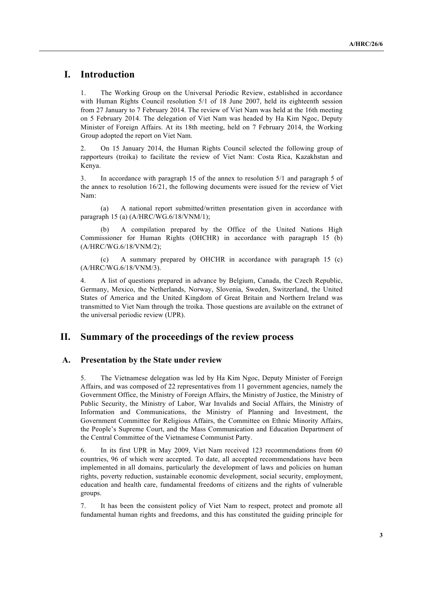# **I. Introduction**

1. The Working Group on the Universal Periodic Review, established in accordance with Human Rights Council resolution  $5/1$  of 18 June 2007, held its eighteenth session from 27 January to 7 February 2014. The review of Viet Nam was held at the 16th meeting on 5 February 2014. The delegation of Viet Nam was headed by Ha Kim Ngoc, Deputy Minister of Foreign Affairs. At its 18th meeting, held on 7 February 2014, the Working Group adopted the report on Viet Nam.

2. On 15 January 2014, the Human Rights Council selected the following group of rapporteurs (troika) to facilitate the review of Viet Nam: Costa Rica, Kazakhstan and Kenya.

3. In accordance with paragraph 15 of the annex to resolution 5/1 and paragraph 5 of the annex to resolution 16/21, the following documents were issued for the review of Viet Nam:

(a) A national report submitted/written presentation given in accordance with paragraph 15 (a) (A/HRC/WG.6/18/VNM/1);

A compilation prepared by the Office of the United Nations High Commissioner for Human Rights (OHCHR) in accordance with paragraph 15 (b) (A/HRC/WG.6/18/VNM/2);

(c) A summary prepared by OHCHR in accordance with paragraph 15 (c) (A/HRC/WG.6/18/VNM/3).

4. A list of questions prepared in advance by Belgium, Canada, the Czech Republic, Germany, Mexico, the Netherlands, Norway, Slovenia, Sweden, Switzerland, the United States of America and the United Kingdom of Great Britain and Northern Ireland was transmitted to Viet Nam through the troika. Those questions are available on the extranet of the universal periodic review (UPR).

## **II. Summary of the proceedings of the review process**

#### **A. Presentation by the State under review**

5. The Vietnamese delegation was led by Ha Kim Ngoc, Deputy Minister of Foreign Affairs, and was composed of 22 representatives from 11 government agencies, namely the Government Office, the Ministry of Foreign Affairs, the Ministry of Justice, the Ministry of Public Security, the Ministry of Labor, War Invalids and Social Affairs, the Ministry of Information and Communications, the Ministry of Planning and Investment, the Government Committee for Religious Affairs, the Committee on Ethnic Minority Affairs, the People's Supreme Court, and the Mass Communication and Education Department of the Central Committee of the Vietnamese Communist Party.

6. In its first UPR in May 2009, Viet Nam received 123 recommendations from 60 countries, 96 of which were accepted. To date, all accepted recommendations have been implemented in all domains, particularly the development of laws and policies on human rights, poverty reduction, sustainable economic development, social security, employment, education and health care, fundamental freedoms of citizens and the rights of vulnerable groups.

7. It has been the consistent policy of Viet Nam to respect, protect and promote all fundamental human rights and freedoms, and this has constituted the guiding principle for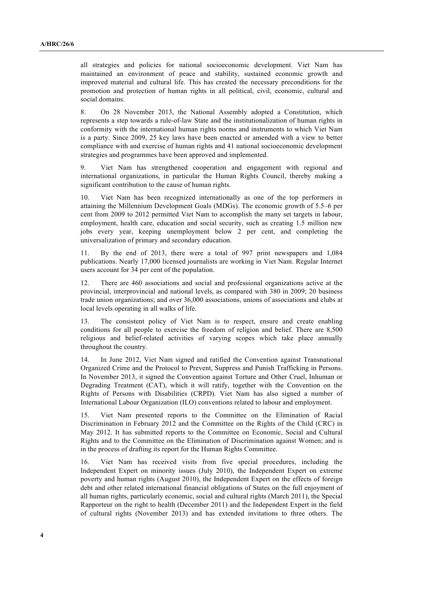all strategies and policies for national socioeconomic development. Viet Nam has maintained an environment of peace and stability, sustained economic growth and improved material and cultural life. This has created the necessary preconditions for the promotion and protection of human rights in all political, civil, economic, cultural and social domains.

8. On 28 November 2013, the National Assembly adopted a Constitution, which represents a step towards a rule-of-law State and the institutionalization of human rights in conformity with the international human rights norms and instruments to which Viet Nam is a party. Since 2009, 25 key laws have been enacted or amended with a view to better compliance with and exercise of human rights and 41 national socioeconomic development strategies and programmes have been approved and implemented.

9. Viet Nam has strengthened cooperation and engagement with regional and international organizations, in particular the Human Rights Council, thereby making a significant contribution to the cause of human rights.

10. Viet Nam has been recognized internationally as one of the top performers in attaining the Millennium Development Goals (MDGs). The economic growth of 5.5–6 per cent from 2009 to 2012 permitted Viet Nam to accomplish the many set targets in labour, employment, health care, education and social security, such as creating 1.5 million new jobs every year, keeping unemployment below 2 per cent, and completing the universalization of primary and secondary education.

11. By the end of 2013, there were a total of 997 print newspapers and 1,084 publications. Nearly 17,000 licensed journalists are working in Viet Nam. Regular Internet users account for 34 per cent of the population.

12. There are 460 associations and social and professional organizations active at the provincial, interprovincial and national levels, as compared with 380 in 2009; 20 business trade union organizations; and over 36,000 associations, unions of associations and clubs at local levels operating in all walks of life.

13. The consistent policy of Viet Nam is to respect, ensure and create enabling conditions for all people to exercise the freedom of religion and belief. There are 8,500 religious and belief-related activities of varying scopes which take place annually throughout the country.

14. In June 2012, Viet Nam signed and ratified the Convention against Transnational Organized Crime and the Protocol to Prevent, Suppress and Punish Trafficking in Persons. In November 2013, it signed the Convention against Torture and Other Cruel, Inhuman or Degrading Treatment (CAT), which it will ratify, together with the Convention on the Rights of Persons with Disabilities (CRPD). Viet Nam has also signed a number of International Labour Organization (ILO) conventions related to labour and employment.

15. Viet Nam presented reports to the Committee on the Elimination of Racial Discrimination in February 2012 and the Committee on the Rights of the Child (CRC) in May 2012. It has submitted reports to the Committee on Economic, Social and Cultural Rights and to the Committee on the Elimination of Discrimination against Women; and is in the process of drafting its report for the Human Rights Committee.

16. Viet Nam has received visits from five special procedures, including the Independent Expert on minority issues (July 2010), the Independent Expert on extreme poverty and human rights (August 2010), the Independent Expert on the effects of foreign debt and other related international financial obligations of States on the full enjoyment of all human rights, particularly economic, social and cultural rights (March 2011), the Special Rapporteur on the right to health (December 2011) and the Independent Expert in the field of cultural rights (November 2013) and has extended invitations to three others. The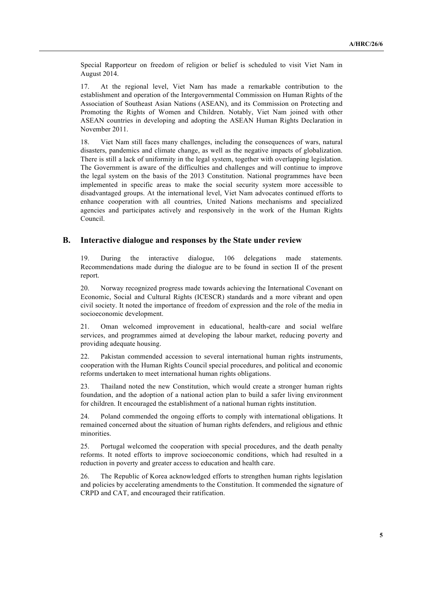Special Rapporteur on freedom of religion or belief is scheduled to visit Viet Nam in August 2014.

17. At the regional level, Viet Nam has made a remarkable contribution to the establishment and operation of the Intergovernmental Commission on Human Rights of the Association of Southeast Asian Nations (ASEAN), and its Commission on Protecting and Promoting the Rights of Women and Children. Notably, Viet Nam joined with other ASEAN countries in developing and adopting the ASEAN Human Rights Declaration in November 2011.

18. Viet Nam still faces many challenges, including the consequences of wars, natural disasters, pandemics and climate change, as well as the negative impacts of globalization. There is still a lack of uniformity in the legal system, together with overlapping legislation. The Government is aware of the difficulties and challenges and will continue to improve the legal system on the basis of the 2013 Constitution. National programmes have been implemented in specific areas to make the social security system more accessible to disadvantaged groups. At the international level, Viet Nam advocates continued efforts to enhance cooperation with all countries, United Nations mechanisms and specialized agencies and participates actively and responsively in the work of the Human Rights Council.

#### **B. Interactive dialogue and responses by the State under review**

19. During the interactive dialogue, 106 delegations made statements. Recommendations made during the dialogue are to be found in section II of the present report.

20. Norway recognized progress made towards achieving the International Covenant on Economic, Social and Cultural Rights (ICESCR) standards and a more vibrant and open civil society. It noted the importance of freedom of expression and the role of the media in socioeconomic development.

21. Oman welcomed improvement in educational, health-care and social welfare services, and programmes aimed at developing the labour market, reducing poverty and providing adequate housing.

22. Pakistan commended accession to several international human rights instruments, cooperation with the Human Rights Council special procedures, and political and economic reforms undertaken to meet international human rights obligations.

23. Thailand noted the new Constitution, which would create a stronger human rights foundation, and the adoption of a national action plan to build a safer living environment for children. It encouraged the establishment of a national human rights institution.

24. Poland commended the ongoing efforts to comply with international obligations. It remained concerned about the situation of human rights defenders, and religious and ethnic minorities.

25. Portugal welcomed the cooperation with special procedures, and the death penalty reforms. It noted efforts to improve socioeconomic conditions, which had resulted in a reduction in poverty and greater access to education and health care.

26. The Republic of Korea acknowledged efforts to strengthen human rights legislation and policies by accelerating amendments to the Constitution. It commended the signature of CRPD and CAT, and encouraged their ratification.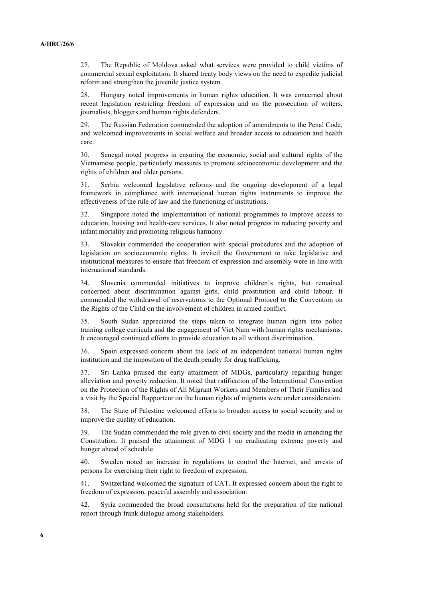27. The Republic of Moldova asked what services were provided to child victims of commercial sexual exploitation. It shared treaty body views on the need to expedite judicial reform and strengthen the juvenile justice system.

28. Hungary noted improvements in human rights education. It was concerned about recent legislation restricting freedom of expression and on the prosecution of writers, journalists, bloggers and human rights defenders.

29. The Russian Federation commended the adoption of amendments to the Penal Code, and welcomed improvements in social welfare and broader access to education and health care.

30. Senegal noted progress in ensuring the economic, social and cultural rights of the Vietnamese people, particularly measures to promote socioeconomic development and the rights of children and older persons.

31. Serbia welcomed legislative reforms and the ongoing development of a legal framework in compliance with international human rights instruments to improve the effectiveness of the rule of law and the functioning of institutions.

32. Singapore noted the implementation of national programmes to improve access to education, housing and health-care services. It also noted progress in reducing poverty and infant mortality and promoting religious harmony.

33. Slovakia commended the cooperation with special procedures and the adoption of legislation on socioeconomic rights. It invited the Government to take legislative and institutional measures to ensure that freedom of expression and assembly were in line with international standards.

34. Slovenia commended initiatives to improve children's rights, but remained concerned about discrimination against girls, child prostitution and child labour. It commended the withdrawal of reservations to the Optional Protocol to the Convention on the Rights of the Child on the involvement of children in armed conflict.

35. South Sudan appreciated the steps taken to integrate human rights into police training college curricula and the engagement of Viet Nam with human rights mechanisms. It encouraged continued efforts to provide education to all without discrimination.

36. Spain expressed concern about the lack of an independent national human rights institution and the imposition of the death penalty for drug trafficking.

37. Sri Lanka praised the early attainment of MDGs, particularly regarding hunger alleviation and poverty reduction. It noted that ratification of the International Convention on the Protection of the Rights of All Migrant Workers and Members of Their Families and a visit by the Special Rapporteur on the human rights of migrants were under consideration.

38. The State of Palestine welcomed efforts to broaden access to social security and to improve the quality of education.

39. The Sudan commended the role given to civil society and the media in amending the Constitution. It praised the attainment of MDG 1 on eradicating extreme poverty and hunger ahead of schedule.

40. Sweden noted an increase in regulations to control the Internet, and arrests of persons for exercising their right to freedom of expression.

41. Switzerland welcomed the signature of CAT. It expressed concern about the right to freedom of expression, peaceful assembly and association.

42. Syria commended the broad consultations held for the preparation of the national report through frank dialogue among stakeholders.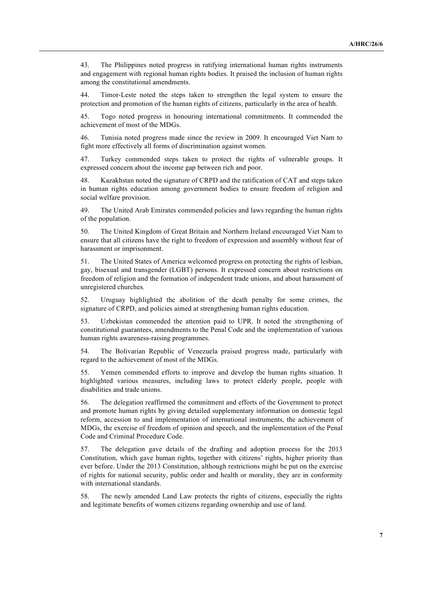43. The Philippines noted progress in ratifying international human rights instruments and engagement with regional human rights bodies. It praised the inclusion of human rights among the constitutional amendments.

44. Timor-Leste noted the steps taken to strengthen the legal system to ensure the protection and promotion of the human rights of citizens, particularly in the area of health.

45. Togo noted progress in honouring international commitments. It commended the achievement of most of the MDGs.

46. Tunisia noted progress made since the review in 2009. It encouraged Viet Nam to fight more effectively all forms of discrimination against women.

47. Turkey commended steps taken to protect the rights of vulnerable groups. It expressed concern about the income gap between rich and poor.

48. Kazakhstan noted the signature of CRPD and the ratification of CAT and steps taken in human rights education among government bodies to ensure freedom of religion and social welfare provision.

49. The United Arab Emirates commended policies and laws regarding the human rights of the population.

50. The United Kingdom of Great Britain and Northern Ireland encouraged Viet Nam to ensure that all citizens have the right to freedom of expression and assembly without fear of harassment or imprisonment.

51. The United States of America welcomed progress on protecting the rights of lesbian, gay, bisexual and transgender (LGBT) persons. It expressed concern about restrictions on freedom of religion and the formation of independent trade unions, and about harassment of unregistered churches.

52. Uruguay highlighted the abolition of the death penalty for some crimes, the signature of CRPD, and policies aimed at strengthening human rights education.

53. Uzbekistan commended the attention paid to UPR. It noted the strengthening of constitutional guarantees, amendments to the Penal Code and the implementation of various human rights awareness-raising programmes.

54. The Bolivarian Republic of Venezuela praised progress made, particularly with regard to the achievement of most of the MDGs.

55. Yemen commended efforts to improve and develop the human rights situation. It highlighted various measures, including laws to protect elderly people, people with disabilities and trade unions.

56. The delegation reaffirmed the commitment and efforts of the Government to protect and promote human rights by giving detailed supplementary information on domestic legal reform, accession to and implementation of international instruments, the achievement of MDGs, the exercise of freedom of opinion and speech, and the implementation of the Penal Code and Criminal Procedure Code.

57. The delegation gave details of the drafting and adoption process for the 2013 Constitution, which gave human rights, together with citizens' rights, higher priority than ever before. Under the 2013 Constitution, although restrictions might be put on the exercise of rights for national security, public order and health or morality, they are in conformity with international standards.

58. The newly amended Land Law protects the rights of citizens, especially the rights and legitimate benefits of women citizens regarding ownership and use of land.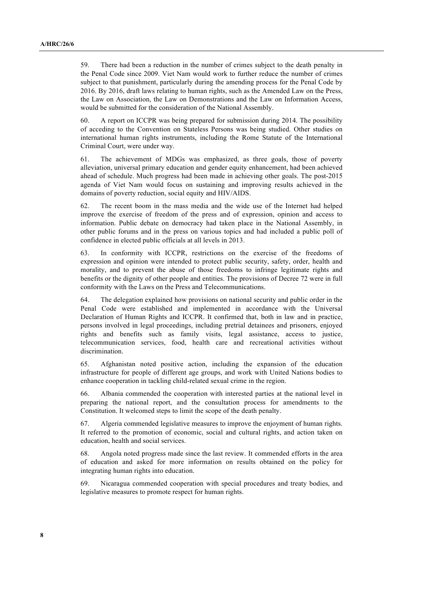59. There had been a reduction in the number of crimes subject to the death penalty in the Penal Code since 2009. Viet Nam would work to further reduce the number of crimes subject to that punishment, particularly during the amending process for the Penal Code by 2016. By 2016, draft laws relating to human rights, such as the Amended Law on the Press, the Law on Association, the Law on Demonstrations and the Law on Information Access, would be submitted for the consideration of the National Assembly.

60. A report on ICCPR was being prepared for submission during 2014. The possibility of acceding to the Convention on Stateless Persons was being studied. Other studies on international human rights instruments, including the Rome Statute of the International Criminal Court, were under way.

61. The achievement of MDGs was emphasized, as three goals, those of poverty alleviation, universal primary education and gender equity enhancement, had been achieved ahead of schedule. Much progress had been made in achieving other goals. The post-2015 agenda of Viet Nam would focus on sustaining and improving results achieved in the domains of poverty reduction, social equity and HIV/AIDS.

62. The recent boom in the mass media and the wide use of the Internet had helped improve the exercise of freedom of the press and of expression, opinion and access to information. Public debate on democracy had taken place in the National Assembly, in other public forums and in the press on various topics and had included a public poll of confidence in elected public officials at all levels in 2013.

63. In conformity with ICCPR, restrictions on the exercise of the freedoms of expression and opinion were intended to protect public security, safety, order, health and morality, and to prevent the abuse of those freedoms to infringe legitimate rights and benefits or the dignity of other people and entities. The provisions of Decree 72 were in full conformity with the Laws on the Press and Telecommunications.

64. The delegation explained how provisions on national security and public order in the Penal Code were established and implemented in accordance with the Universal Declaration of Human Rights and ICCPR. It confirmed that, both in law and in practice, persons involved in legal proceedings, including pretrial detainees and prisoners, enjoyed rights and benefits such as family visits, legal assistance, access to justice, telecommunication services, food, health care and recreational activities without discrimination.

65. Afghanistan noted positive action, including the expansion of the education infrastructure for people of different age groups, and work with United Nations bodies to enhance cooperation in tackling child-related sexual crime in the region.

66. Albania commended the cooperation with interested parties at the national level in preparing the national report, and the consultation process for amendments to the Constitution. It welcomed steps to limit the scope of the death penalty.

67. Algeria commended legislative measures to improve the enjoyment of human rights. It referred to the promotion of economic, social and cultural rights, and action taken on education, health and social services.

68. Angola noted progress made since the last review. It commended efforts in the area of education and asked for more information on results obtained on the policy for integrating human rights into education.

69. Nicaragua commended cooperation with special procedures and treaty bodies, and legislative measures to promote respect for human rights.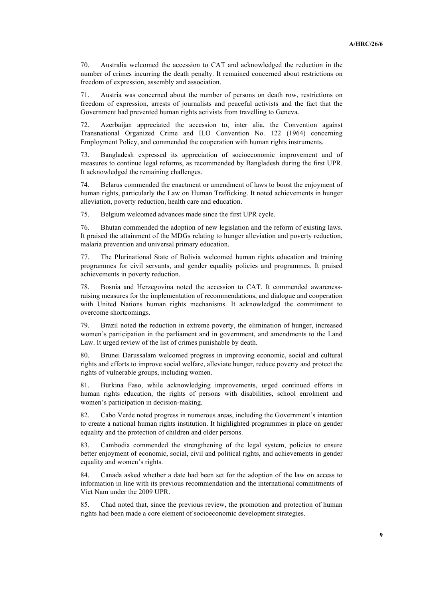70. Australia welcomed the accession to CAT and acknowledged the reduction in the number of crimes incurring the death penalty. It remained concerned about restrictions on freedom of expression, assembly and association.

71. Austria was concerned about the number of persons on death row, restrictions on freedom of expression, arrests of journalists and peaceful activists and the fact that the Government had prevented human rights activists from travelling to Geneva.

72. Azerbaijan appreciated the accession to, inter alia, the Convention against Transnational Organized Crime and ILO Convention No. 122 (1964) concerning Employment Policy, and commended the cooperation with human rights instruments.

73. Bangladesh expressed its appreciation of socioeconomic improvement and of measures to continue legal reforms, as recommended by Bangladesh during the first UPR. It acknowledged the remaining challenges.

74. Belarus commended the enactment or amendment of laws to boost the enjoyment of human rights, particularly the Law on Human Trafficking. It noted achievements in hunger alleviation, poverty reduction, health care and education.

75. Belgium welcomed advances made since the first UPR cycle.

76. Bhutan commended the adoption of new legislation and the reform of existing laws. It praised the attainment of the MDGs relating to hunger alleviation and poverty reduction, malaria prevention and universal primary education.

77. The Plurinational State of Bolivia welcomed human rights education and training programmes for civil servants, and gender equality policies and programmes. It praised achievements in poverty reduction.

78. Bosnia and Herzegovina noted the accession to CAT. It commended awarenessraising measures for the implementation of recommendations, and dialogue and cooperation with United Nations human rights mechanisms. It acknowledged the commitment to overcome shortcomings.

79. Brazil noted the reduction in extreme poverty, the elimination of hunger, increased women's participation in the parliament and in government, and amendments to the Land Law. It urged review of the list of crimes punishable by death.

80. Brunei Darussalam welcomed progress in improving economic, social and cultural rights and efforts to improve social welfare, alleviate hunger, reduce poverty and protect the rights of vulnerable groups, including women.

81. Burkina Faso, while acknowledging improvements, urged continued efforts in human rights education, the rights of persons with disabilities, school enrolment and women's participation in decision-making.

82. Cabo Verde noted progress in numerous areas, including the Government's intention to create a national human rights institution. It highlighted programmes in place on gender equality and the protection of children and older persons.

83. Cambodia commended the strengthening of the legal system, policies to ensure better enjoyment of economic, social, civil and political rights, and achievements in gender equality and women's rights.

84. Canada asked whether a date had been set for the adoption of the law on access to information in line with its previous recommendation and the international commitments of Viet Nam under the 2009 UPR.

85. Chad noted that, since the previous review, the promotion and protection of human rights had been made a core element of socioeconomic development strategies.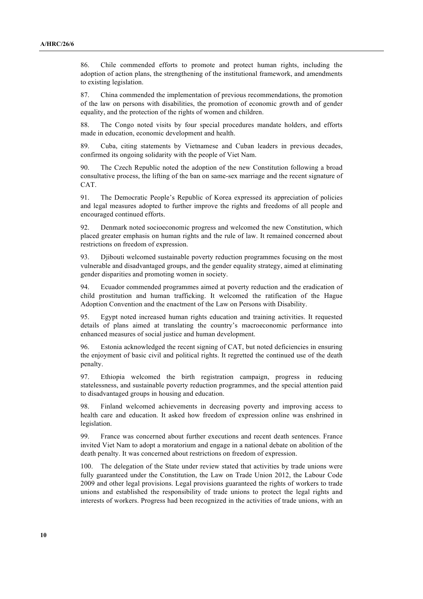86. Chile commended efforts to promote and protect human rights, including the adoption of action plans, the strengthening of the institutional framework, and amendments to existing legislation.

87. China commended the implementation of previous recommendations, the promotion of the law on persons with disabilities, the promotion of economic growth and of gender equality, and the protection of the rights of women and children.

88. The Congo noted visits by four special procedures mandate holders, and efforts made in education, economic development and health.

89. Cuba, citing statements by Vietnamese and Cuban leaders in previous decades, confirmed its ongoing solidarity with the people of Viet Nam.

90. The Czech Republic noted the adoption of the new Constitution following a broad consultative process, the lifting of the ban on same-sex marriage and the recent signature of CAT.

91. The Democratic People's Republic of Korea expressed its appreciation of policies and legal measures adopted to further improve the rights and freedoms of all people and encouraged continued efforts.

92. Denmark noted socioeconomic progress and welcomed the new Constitution, which placed greater emphasis on human rights and the rule of law. It remained concerned about restrictions on freedom of expression.

93. Djibouti welcomed sustainable poverty reduction programmes focusing on the most vulnerable and disadvantaged groups, and the gender equality strategy, aimed at eliminating gender disparities and promoting women in society.

94. Ecuador commended programmes aimed at poverty reduction and the eradication of child prostitution and human trafficking. It welcomed the ratification of the Hague Adoption Convention and the enactment of the Law on Persons with Disability.

95. Egypt noted increased human rights education and training activities. It requested details of plans aimed at translating the country's macroeconomic performance into enhanced measures of social justice and human development.

96. Estonia acknowledged the recent signing of CAT, but noted deficiencies in ensuring the enjoyment of basic civil and political rights. It regretted the continued use of the death penalty.

97. Ethiopia welcomed the birth registration campaign, progress in reducing statelessness, and sustainable poverty reduction programmes, and the special attention paid to disadvantaged groups in housing and education.

98. Finland welcomed achievements in decreasing poverty and improving access to health care and education. It asked how freedom of expression online was enshrined in legislation.

99. France was concerned about further executions and recent death sentences. France invited Viet Nam to adopt a moratorium and engage in a national debate on abolition of the death penalty. It was concerned about restrictions on freedom of expression.

100. The delegation of the State under review stated that activities by trade unions were fully guaranteed under the Constitution, the Law on Trade Union 2012, the Labour Code 2009 and other legal provisions. Legal provisions guaranteed the rights of workers to trade unions and established the responsibility of trade unions to protect the legal rights and interests of workers. Progress had been recognized in the activities of trade unions, with an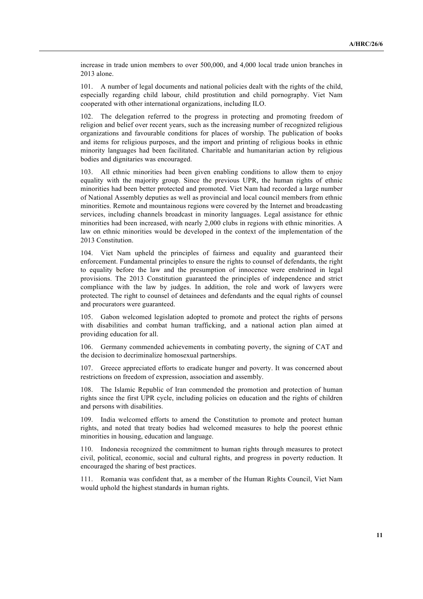increase in trade union members to over 500,000, and 4,000 local trade union branches in 2013 alone.

101. A number of legal documents and national policies dealt with the rights of the child, especially regarding child labour, child prostitution and child pornography. Viet Nam cooperated with other international organizations, including ILO.

102. The delegation referred to the progress in protecting and promoting freedom of religion and belief over recent years, such as the increasing number of recognized religious organizations and favourable conditions for places of worship. The publication of books and items for religious purposes, and the import and printing of religious books in ethnic minority languages had been facilitated. Charitable and humanitarian action by religious bodies and dignitaries was encouraged.

103. All ethnic minorities had been given enabling conditions to allow them to enjoy equality with the majority group. Since the previous UPR, the human rights of ethnic minorities had been better protected and promoted. Viet Nam had recorded a large number of National Assembly deputies as well as provincial and local council members from ethnic minorities. Remote and mountainous regions were covered by the Internet and broadcasting services, including channels broadcast in minority languages. Legal assistance for ethnic minorities had been increased, with nearly 2,000 clubs in regions with ethnic minorities. A law on ethnic minorities would be developed in the context of the implementation of the 2013 Constitution.

104. Viet Nam upheld the principles of fairness and equality and guaranteed their enforcement. Fundamental principles to ensure the rights to counsel of defendants, the right to equality before the law and the presumption of innocence were enshrined in legal provisions. The 2013 Constitution guaranteed the principles of independence and strict compliance with the law by judges. In addition, the role and work of lawyers were protected. The right to counsel of detainees and defendants and the equal rights of counsel and procurators were guaranteed.

105. Gabon welcomed legislation adopted to promote and protect the rights of persons with disabilities and combat human trafficking, and a national action plan aimed at providing education for all.

106. Germany commended achievements in combating poverty, the signing of CAT and the decision to decriminalize homosexual partnerships.

107. Greece appreciated efforts to eradicate hunger and poverty. It was concerned about restrictions on freedom of expression, association and assembly.

108. The Islamic Republic of Iran commended the promotion and protection of human rights since the first UPR cycle, including policies on education and the rights of children and persons with disabilities.

109. India welcomed efforts to amend the Constitution to promote and protect human rights, and noted that treaty bodies had welcomed measures to help the poorest ethnic minorities in housing, education and language.

110. Indonesia recognized the commitment to human rights through measures to protect civil, political, economic, social and cultural rights, and progress in poverty reduction. It encouraged the sharing of best practices.

111. Romania was confident that, as a member of the Human Rights Council, Viet Nam would uphold the highest standards in human rights.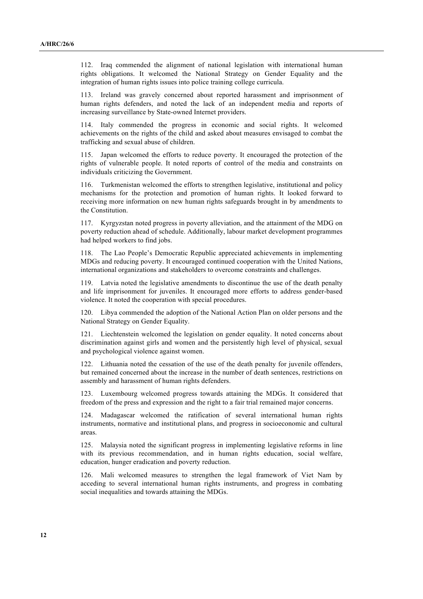112. Iraq commended the alignment of national legislation with international human rights obligations. It welcomed the National Strategy on Gender Equality and the integration of human rights issues into police training college curricula.

113. Ireland was gravely concerned about reported harassment and imprisonment of human rights defenders, and noted the lack of an independent media and reports of increasing surveillance by State-owned Internet providers.

114. Italy commended the progress in economic and social rights. It welcomed achievements on the rights of the child and asked about measures envisaged to combat the trafficking and sexual abuse of children.

115. Japan welcomed the efforts to reduce poverty. It encouraged the protection of the rights of vulnerable people. It noted reports of control of the media and constraints on individuals criticizing the Government.

116. Turkmenistan welcomed the efforts to strengthen legislative, institutional and policy mechanisms for the protection and promotion of human rights. It looked forward to receiving more information on new human rights safeguards brought in by amendments to the Constitution.

Kyrgyzstan noted progress in poverty alleviation, and the attainment of the MDG on poverty reduction ahead of schedule. Additionally, labour market development programmes had helped workers to find jobs.

118. The Lao People's Democratic Republic appreciated achievements in implementing MDGs and reducing poverty. It encouraged continued cooperation with the United Nations, international organizations and stakeholders to overcome constraints and challenges.

119. Latvia noted the legislative amendments to discontinue the use of the death penalty and life imprisonment for juveniles. It encouraged more efforts to address gender-based violence. It noted the cooperation with special procedures.

120. Libya commended the adoption of the National Action Plan on older persons and the National Strategy on Gender Equality.

121. Liechtenstein welcomed the legislation on gender equality. It noted concerns about discrimination against girls and women and the persistently high level of physical, sexual and psychological violence against women.

122. Lithuania noted the cessation of the use of the death penalty for juvenile offenders, but remained concerned about the increase in the number of death sentences, restrictions on assembly and harassment of human rights defenders.

123. Luxembourg welcomed progress towards attaining the MDGs. It considered that freedom of the press and expression and the right to a fair trial remained major concerns.

124. Madagascar welcomed the ratification of several international human rights instruments, normative and institutional plans, and progress in socioeconomic and cultural areas.

125. Malaysia noted the significant progress in implementing legislative reforms in line with its previous recommendation, and in human rights education, social welfare, education, hunger eradication and poverty reduction.

126. Mali welcomed measures to strengthen the legal framework of Viet Nam by acceding to several international human rights instruments, and progress in combating social inequalities and towards attaining the MDGs.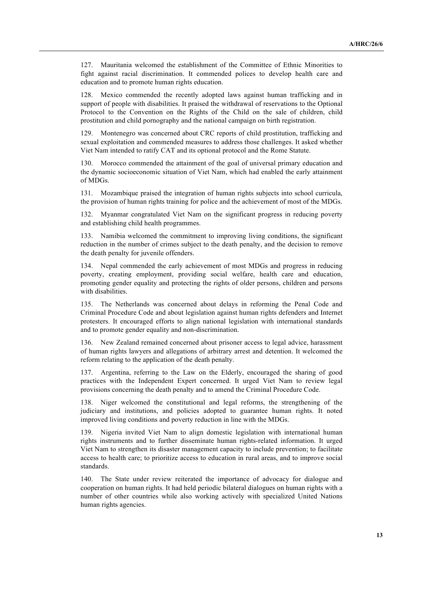127. Mauritania welcomed the establishment of the Committee of Ethnic Minorities to fight against racial discrimination. It commended polices to develop health care and education and to promote human rights education.

128. Mexico commended the recently adopted laws against human trafficking and in support of people with disabilities. It praised the withdrawal of reservations to the Optional Protocol to the Convention on the Rights of the Child on the sale of children, child prostitution and child pornography and the national campaign on birth registration.

129. Montenegro was concerned about CRC reports of child prostitution, trafficking and sexual exploitation and commended measures to address those challenges. It asked whether Viet Nam intended to ratify CAT and its optional protocol and the Rome Statute.

130. Morocco commended the attainment of the goal of universal primary education and the dynamic socioeconomic situation of Viet Nam, which had enabled the early attainment of MDGs.

131. Mozambique praised the integration of human rights subjects into school curricula, the provision of human rights training for police and the achievement of most of the MDGs.

132. Myanmar congratulated Viet Nam on the significant progress in reducing poverty and establishing child health programmes.

133. Namibia welcomed the commitment to improving living conditions, the significant reduction in the number of crimes subject to the death penalty, and the decision to remove the death penalty for juvenile offenders.

134. Nepal commended the early achievement of most MDGs and progress in reducing poverty, creating employment, providing social welfare, health care and education, promoting gender equality and protecting the rights of older persons, children and persons with disabilities.

135. The Netherlands was concerned about delays in reforming the Penal Code and Criminal Procedure Code and about legislation against human rights defenders and Internet protesters. It encouraged efforts to align national legislation with international standards and to promote gender equality and non-discrimination.

136. New Zealand remained concerned about prisoner access to legal advice, harassment of human rights lawyers and allegations of arbitrary arrest and detention. It welcomed the reform relating to the application of the death penalty.

137. Argentina, referring to the Law on the Elderly, encouraged the sharing of good practices with the Independent Expert concerned. It urged Viet Nam to review legal provisions concerning the death penalty and to amend the Criminal Procedure Code.

138. Niger welcomed the constitutional and legal reforms, the strengthening of the judiciary and institutions, and policies adopted to guarantee human rights. It noted improved living conditions and poverty reduction in line with the MDGs.

139. Nigeria invited Viet Nam to align domestic legislation with international human rights instruments and to further disseminate human rights-related information. It urged Viet Nam to strengthen its disaster management capacity to include prevention; to facilitate access to health care; to prioritize access to education in rural areas, and to improve social standards.

140. The State under review reiterated the importance of advocacy for dialogue and cooperation on human rights. It had held periodic bilateral dialogues on human rights with a number of other countries while also working actively with specialized United Nations human rights agencies.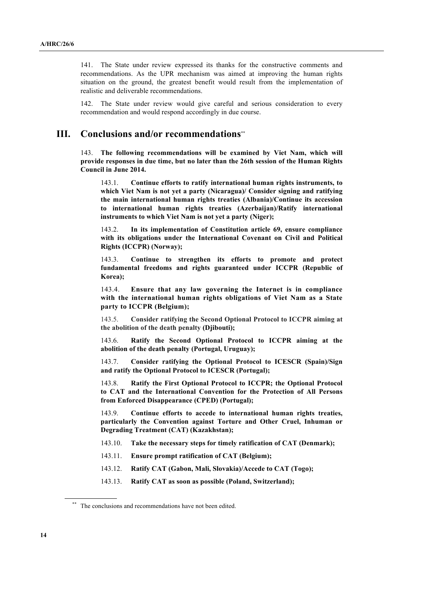141. The State under review expressed its thanks for the constructive comments and recommendations. As the UPR mechanism was aimed at improving the human rights situation on the ground, the greatest benefit would result from the implementation of realistic and deliverable recommendations.

142. The State under review would give careful and serious consideration to every recommendation and would respond accordingly in due course.

## **III. Conclusions and/or recommendations\*\***

143. **The following recommendations will be examined by Viet Nam, which will provide responses in due time, but no later than the 26th session of the Human Rights Council in June 2014.**

143.1. **Continue efforts to ratify international human rights instruments, to which Viet Nam is not yet a party (Nicaragua)/ Consider signing and ratifying the main international human rights treaties (Albania)/Continue its accession to international human rights treaties (Azerbaijan)/Ratify international instruments to which Viet Nam is not yet a party (Niger);**

143.2. **In its implementation of Constitution article 69, ensure compliance with its obligations under the International Covenant on Civil and Political Rights (ICCPR) (Norway);**

143.3. **Continue to strengthen its efforts to promote and protect fundamental freedoms and rights guaranteed under ICCPR (Republic of Korea);**

143.4. **Ensure that any law governing the Internet is in compliance with the international human rights obligations of Viet Nam as a State party to ICCPR (Belgium);**

143.5. **Consider ratifying the Second Optional Protocol to ICCPR aiming at the abolition of the death penalty (Djibouti);**

143.6. **Ratify the Second Optional Protocol to ICCPR aiming at the abolition of the death penalty (Portugal, Uruguay);**

143.7. **Consider ratifying the Optional Protocol to ICESCR (Spain)/Sign and ratify the Optional Protocol to ICESCR (Portugal);**

143.8. **Ratify the First Optional Protocol to ICCPR; the Optional Protocol to CAT and the International Convention for the Protection of All Persons from Enforced Disappearance (CPED) (Portugal);**

143.9. **Continue efforts to accede to international human rights treaties, particularly the Convention against Torture and Other Cruel, Inhuman or Degrading Treatment (CAT) (Kazakhstan);**

143.10. **Take the necessary steps for timely ratification of CAT (Denmark);**

143.11. **Ensure prompt ratification of CAT (Belgium);**

143.12. **Ratify CAT (Gabon, Mali, Slovakia)/Accede to CAT (Togo);**

143.13. **Ratify CAT as soon as possible (Poland, Switzerland);**

<sup>\*\*</sup> The conclusions and recommendations have not been edited.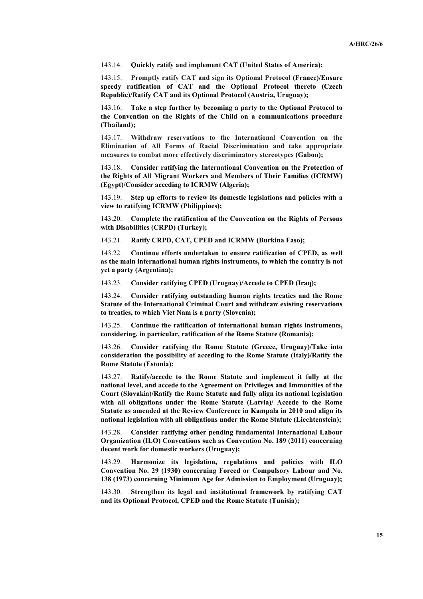143.14. **Quickly ratify and implement CAT (United States of America);**

143.15. **Promptly ratify CAT and sign its Optional Protocol (France)/Ensure speedy ratification of CAT and the Optional Protocol thereto (Czech Republic)/Ratify CAT and its Optional Protocol (Austria, Uruguay);**

143.16. **Take a step further by becoming a party to the Optional Protocol to the Convention on the Rights of the Child on a communications procedure (Thailand);**

143.17. **Withdraw reservations to the International Convention on the Elimination of All Forms of Racial Discrimination and take appropriate measures to combat more effectively discriminatory stereotypes (Gabon);**

143.18. **Consider ratifying the International Convention on the Protection of the Rights of All Migrant Workers and Members of Their Families (ICRMW) (Egypt)/Consider acceding to ICRMW (Algeria);**

143.19. **Step up efforts to review its domestic legislations and policies with a view to ratifying ICRMW (Philippines);**

143.20. **Complete the ratification of the Convention on the Rights of Persons with Disabilities (CRPD) (Turkey);**

143.21. **Ratify CRPD, CAT, CPED and ICRMW (Burkina Faso);**

143.22. **Continue efforts undertaken to ensure ratification of CPED, as well as the main international human rights instruments, to which the country is not yet a party (Argentina);**

143.23. **Consider ratifying CPED (Uruguay)/Accede to CPED (Iraq);**

143.24. **Consider ratifying outstanding human rights treaties and the Rome Statute of the International Criminal Court and withdraw existing reservations to treaties, to which Viet Nam is a party (Slovenia);**

143.25. **Continue the ratification of international human rights instruments, considering, in particular, ratification of the Rome Statute (Romania);**

143.26. **Consider ratifying the Rome Statute (Greece, Uruguay)/Take into consideration the possibility of acceding to the Rome Statute (Italy)/Ratify the Rome Statute (Estonia);**

143.27. **Ratify/accede to the Rome Statute and implement it fully at the national level, and accede to the Agreement on Privileges and Immunities of the Court (Slovakia)/Ratify the Rome Statute and fully align its national legislation with all obligations under the Rome Statute (Latvia)/ Accede to the Rome Statute as amended at the Review Conference in Kampala in 2010 and align its national legislation with all obligations under the Rome Statute (Liechtenstein);**

143.28. **Consider ratifying other pending fundamental International Labour Organization (ILO) Conventions such as Convention No. 189 (2011) concerning decent work for domestic workers (Uruguay);**

143.29. **Harmonize its legislation, regulations and policies with ILO Convention No. 29 (1930) concerning Forced or Compulsory Labour and No. 138 (1973) concerning Minimum Age for Admission to Employment (Uruguay);**

143.30. **Strengthen its legal and institutional framework by ratifying CAT and its Optional Protocol, CPED and the Rome Statute (Tunisia);**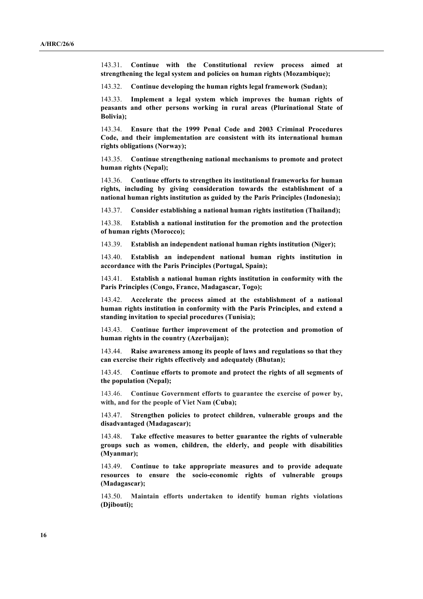143.31. **Continue with the Constitutional review process aimed at strengthening the legal system and policies on human rights (Mozambique);**

143.32. **Continue developing the human rights legal framework (Sudan);**

143.33. **Implement a legal system which improves the human rights of peasants and other persons working in rural areas (Plurinational State of Bolivia);**

143.34. **Ensure that the 1999 Penal Code and 2003 Criminal Procedures Code, and their implementation are consistent with its international human rights obligations (Norway);**

143.35. **Continue strengthening national mechanisms to promote and protect human rights (Nepal);**

143.36. **Continue efforts to strengthen its institutional frameworks for human rights, including by giving consideration towards the establishment of a national human rights institution as guided by the Paris Principles (Indonesia);**

143.37. **Consider establishing a national human rights institution (Thailand);**

143.38. **Establish a national institution for the promotion and the protection of human rights (Morocco);**

143.39. **Establish an independent national human rights institution (Niger);**

143.40. **Establish an independent national human rights institution in accordance with the Paris Principles (Portugal, Spain);**

143.41. **Establish a national human rights institution in conformity with the Paris Principles (Congo, France, Madagascar, Togo);**

143.42. **Accelerate the process aimed at the establishment of a national human rights institution in conformity with the Paris Principles, and extend a standing invitation to special procedures (Tunisia);** 

143.43. **Continue further improvement of the protection and promotion of human rights in the country (Azerbaijan);**

143.44. **Raise awareness among its people of laws and regulations so that they can exercise their rights effectively and adequately (Bhutan);**

143.45. **Continue efforts to promote and protect the rights of all segments of the population (Nepal);**

143.46. **Continue Government efforts to guarantee the exercise of power by, with, and for the people of Viet Nam (Cuba);**

143.47. **Strengthen policies to protect children, vulnerable groups and the disadvantaged (Madagascar);**

143.48. **Take effective measures to better guarantee the rights of vulnerable groups such as women, children, the elderly, and people with disabilities (Myanmar);**

143.49. **Continue to take appropriate measures and to provide adequate resources to ensure the socio-economic rights of vulnerable groups (Madagascar);** 

143.50. **Maintain efforts undertaken to identify human rights violations (Djibouti);**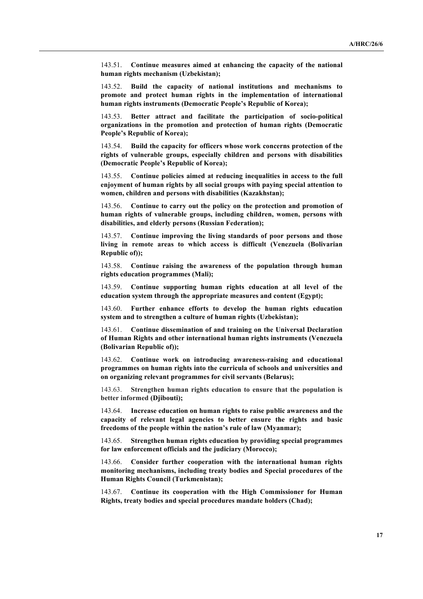143.51. **Continue measures aimed at enhancing the capacity of the national human rights mechanism (Uzbekistan);**

143.52. **Build the capacity of national institutions and mechanisms to promote and protect human rights in the implementation of international human rights instruments (Democratic People's Republic of Korea);**

143.53. **Better attract and facilitate the participation of socio-political organizations in the promotion and protection of human rights (Democratic People's Republic of Korea);**

143.54. **Build the capacity for officers whose work concerns protection of the rights of vulnerable groups, especially children and persons with disabilities (Democratic People's Republic of Korea);**

143.55. **Continue policies aimed at reducing inequalities in access to the full enjoyment of human rights by all social groups with paying special attention to women, children and persons with disabilities (Kazakhstan);**

143.56. **Continue to carry out the policy on the protection and promotion of human rights of vulnerable groups, including children, women, persons with disabilities, and elderly persons (Russian Federation);**

143.57. **Continue improving the living standards of poor persons and those living in remote areas to which access is difficult (Venezuela (Bolivarian Republic of));**

143.58. **Continue raising the awareness of the population through human rights education programmes (Mali);**

143.59. **Continue supporting human rights education at all level of the education system through the appropriate measures and content (Egypt);**

143.60. **Further enhance efforts to develop the human rights education system and to strengthen a culture of human rights (Uzbekistan);**

143.61. **Continue dissemination of and training on the Universal Declaration of Human Rights and other international human rights instruments (Venezuela (Bolivarian Republic of));**

143.62. **Continue work on introducing awareness-raising and educational programmes on human rights into the curricula of schools and universities and on organizing relevant programmes for civil servants (Belarus);**

143.63. **Strengthen human rights education to ensure that the population is better informed (Djibouti);**

143.64. **Increase education on human rights to raise public awareness and the capacity of relevant legal agencies to better ensure the rights and basic freedoms of the people within the nation's rule of law (Myanmar);**

143.65. **Strengthen human rights education by providing special programmes for law enforcement officials and the judiciary (Morocco);**

143.66. **Consider further cooperation with the international human rights monitoring mechanisms, including treaty bodies and Special procedures of the Human Rights Council (Turkmenistan);**

143.67. **Continue its cooperation with the High Commissioner for Human Rights, treaty bodies and special procedures mandate holders (Chad);**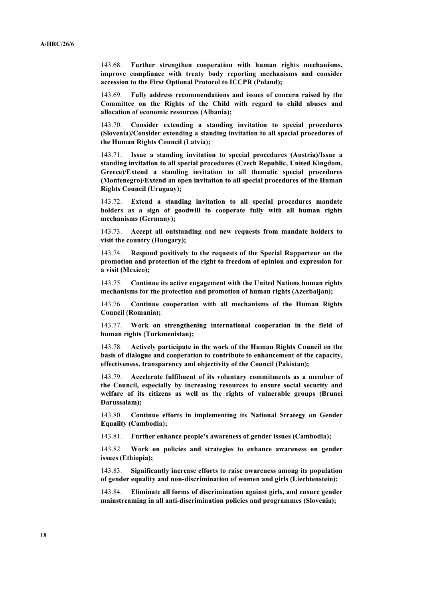143.68. **Further strengthen cooperation with human rights mechanisms, improve compliance with treaty body reporting mechanisms and consider accession to the First Optional Protocol to ICCPR (Poland);**

143.69. **Fully address recommendations and issues of concern raised by the Committee on the Rights of the Child with regard to child abuses and allocation of economic resources (Albania);**

143.70. **Consider extending a standing invitation to special procedures (Slovenia)/Consider extending a standing invitation to all special procedures of the Human Rights Council (Latvia);**

143.71. **Issue a standing invitation to special procedures (Austria)/Issue a standing invitation to all special procedures (Czech Republic, United Kingdom, Greece)/Extend a standing invitation to all thematic special procedures (Montenegro)/Extend an open invitation to all special procedures of the Human Rights Council (Uruguay);**

143.72. **Extend a standing invitation to all special procedures mandate holders as a sign of goodwill to cooperate fully with all human rights mechanisms (Germany);**

143.73. **Accept all outstanding and new requests from mandate holders to visit the country (Hungary);**

143.74. **Respond positively to the requests of the Special Rapporteur on the promotion and protection of the right to freedom of opinion and expression for a visit (Mexico);**

143.75. **Continue its active engagement with the United Nations human rights mechanisms for the protection and promotion of human rights (Azerbaijan);**

143.76. **Continue cooperation with all mechanisms of the Human Rights Council (Romania);**

143.77. **Work on strengthening international cooperation in the field of human rights (Turkmenistan);**

143.78. **Actively participate in the work of the Human Rights Council on the basis of dialogue and cooperation to contribute to enhancement of the capacity, effectiveness, transparency and objectivity of the Council (Pakistan);**

143.79. **Accelerate fulfilment of its voluntary commitments as a member of the Council, especially by increasing resources to ensure social security and welfare of its citizens as well as the rights of vulnerable groups (Brunei Darussalam);**

143.80. **Continue efforts in implementing its National Strategy on Gender Equality (Cambodia);**

143.81. **Further enhance people's awareness of gender issues (Cambodia);**

143.82. **Work on policies and strategies to enhance awareness on gender issues (Ethiopia);**

143.83. **Significantly increase efforts to raise awareness among its population of gender equality and non-discrimination of women and girls (Liechtenstein);**

143.84. **Eliminate all forms of discrimination against girls, and ensure gender mainstreaming in all anti-discrimination policies and programmes (Slovenia);**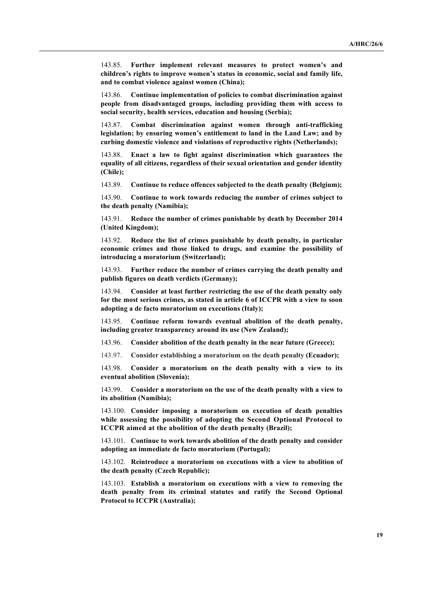143.85. **Further implement relevant measures to protect women's and children's rights to improve women's status in economic, social and family life, and to combat violence against women (China);**

143.86. **Continue implementation of policies to combat discrimination against people from disadvantaged groups, including providing them with access to social security, health services, education and housing (Serbia);**

143.87. **Combat discrimination against women through anti-trafficking legislation; by ensuring women's entitlement to land in the Land Law; and by curbing domestic violence and violations of reproductive rights (Netherlands);**

143.88. **Enact a law to fight against discrimination which guarantees the equality of all citizens, regardless of their sexual orientation and gender identity (Chile);**

143.89. **Continue to reduce offences subjected to the death penalty (Belgium);**

143.90. **Continue to work towards reducing the number of crimes subject to the death penalty (Namibia);**

143.91. **Reduce the number of crimes punishable by death by December 2014 (United Kingdom);**

143.92. **Reduce the list of crimes punishable by death penalty, in particular economic crimes and those linked to drugs, and examine the possibility of introducing a moratorium (Switzerland);**

143.93. **Further reduce the number of crimes carrying the death penalty and publish figures on death verdicts (Germany);**

143.94. **Consider at least further restricting the use of the death penalty only for the most serious crimes, as stated in article 6 of ICCPR with a view to soon adopting a de facto moratorium on executions (Italy);**

143.95. **Continue reform towards eventual abolition of the death penalty, including greater transparency around its use (New Zealand);**

143.96. **Consider abolition of the death penalty in the near future (Greece);**

143.97. **Consider establishing a moratorium on the death penalty (Ecuador);**

143.98. **Consider a moratorium on the death penalty with a view to its eventual abolition (Slovenia);**

143.99. **Consider a moratorium on the use of the death penalty with a view to its abolition (Namibia);**

143.100. **Consider imposing a moratorium on execution of death penalties while assessing the possibility of adopting the Second Optional Protocol to ICCPR aimed at the abolition of the death penalty (Brazil);**

143.101. **Continue to work towards abolition of the death penalty and consider adopting an immediate de facto moratorium (Portugal);**

143.102. **Reintroduce a moratorium on executions with a view to abolition of the death penalty (Czech Republic);**

143.103. **Establish a moratorium on executions with a view to removing the death penalty from its criminal statutes and ratify the Second Optional Protocol to ICCPR (Australia);**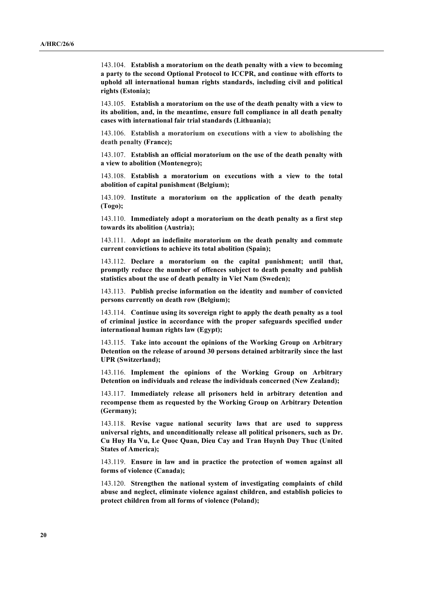143.104. **Establish a moratorium on the death penalty with a view to becoming a party to the second Optional Protocol to ICCPR, and continue with efforts to uphold all international human rights standards, including civil and political rights (Estonia);**

143.105. **Establish a moratorium on the use of the death penalty with a view to its abolition, and, in the meantime, ensure full compliance in all death penalty cases with international fair trial standards (Lithuania);**

143.106. **Establish a moratorium on executions with a view to abolishing the death penalty (France);**

143.107. **Establish an official moratorium on the use of the death penalty with a view to abolition (Montenegro);**

143.108. **Establish a moratorium on executions with a view to the total abolition of capital punishment (Belgium);**

143.109. **Institute a moratorium on the application of the death penalty (Togo);**

143.110. **Immediately adopt a moratorium on the death penalty as a first step towards its abolition (Austria);**

143.111. **Adopt an indefinite moratorium on the death penalty and commute current convictions to achieve its total abolition (Spain);**

143.112. **Declare a moratorium on the capital punishment; until that, promptly reduce the number of offences subject to death penalty and publish statistics about the use of death penalty in Viet Nam (Sweden);**

143.113. **Publish precise information on the identity and number of convicted persons currently on death row (Belgium);**

143.114. **Continue using its sovereign right to apply the death penalty as a tool of criminal justice in accordance with the proper safeguards specified under international human rights law (Egypt);**

143.115. **Take into account the opinions of the Working Group on Arbitrary Detention on the release of around 30 persons detained arbitrarily since the last UPR (Switzerland);**

143.116. **Implement the opinions of the Working Group on Arbitrary Detention on individuals and release the individuals concerned (New Zealand);**

143.117. **Immediately release all prisoners held in arbitrary detention and recompense them as requested by the Working Group on Arbitrary Detention (Germany);**

143.118. **Revise vague national security laws that are used to suppress universal rights, and unconditionally release all political prisoners, such as Dr. Cu Huy Ha Vu, Le Quoc Quan, Dieu Cay and Tran Huynh Duy Thuc (United States of America);**

143.119. **Ensure in law and in practice the protection of women against all forms of violence (Canada);**

143.120. **Strengthen the national system of investigating complaints of child abuse and neglect, eliminate violence against children, and establish policies to protect children from all forms of violence (Poland);**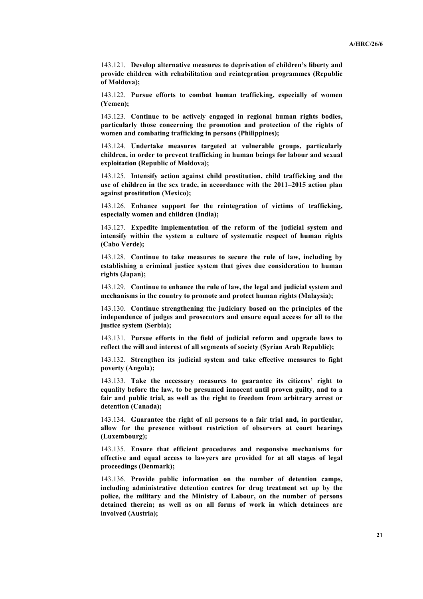143.121. **Develop alternative measures to deprivation of children's liberty and provide children with rehabilitation and reintegration programmes (Republic of Moldova);**

143.122. **Pursue efforts to combat human trafficking, especially of women (Yemen);**

143.123. **Continue to be actively engaged in regional human rights bodies, particularly those concerning the promotion and protection of the rights of women and combating trafficking in persons (Philippines);**

143.124. **Undertake measures targeted at vulnerable groups, particularly children, in order to prevent trafficking in human beings for labour and sexual exploitation (Republic of Moldova);**

143.125. **Intensify action against child prostitution, child trafficking and the use of children in the sex trade, in accordance with the 2011–2015 action plan against prostitution (Mexico);**

143.126. **Enhance support for the reintegration of victims of trafficking, especially women and children (India);**

143.127. **Expedite implementation of the reform of the judicial system and intensify within the system a culture of systematic respect of human rights (Cabo Verde);**

143.128. **Continue to take measures to secure the rule of law, including by establishing a criminal justice system that gives due consideration to human rights (Japan);**

143.129. **Continue to enhance the rule of law, the legal and judicial system and mechanisms in the country to promote and protect human rights (Malaysia);**

143.130. **Continue strengthening the judiciary based on the principles of the independence of judges and prosecutors and ensure equal access for all to the justice system (Serbia);**

143.131. **Pursue efforts in the field of judicial reform and upgrade laws to reflect the will and interest of all segments of society (Syrian Arab Republic);**

143.132. **Strengthen its judicial system and take effective measures to fight poverty (Angola);**

143.133. **Take the necessary measures to guarantee its citizens' right to equality before the law, to be presumed innocent until proven guilty, and to a fair and public trial, as well as the right to freedom from arbitrary arrest or detention (Canada);**

143.134. **Guarantee the right of all persons to a fair trial and, in particular, allow for the presence without restriction of observers at court hearings (Luxembourg);**

143.135. **Ensure that efficient procedures and responsive mechanisms for effective and equal access to lawyers are provided for at all stages of legal proceedings (Denmark);**

143.136. **Provide public information on the number of detention camps, including administrative detention centres for drug treatment set up by the police, the military and the Ministry of Labour, on the number of persons detained therein; as well as on all forms of work in which detainees are involved (Austria);**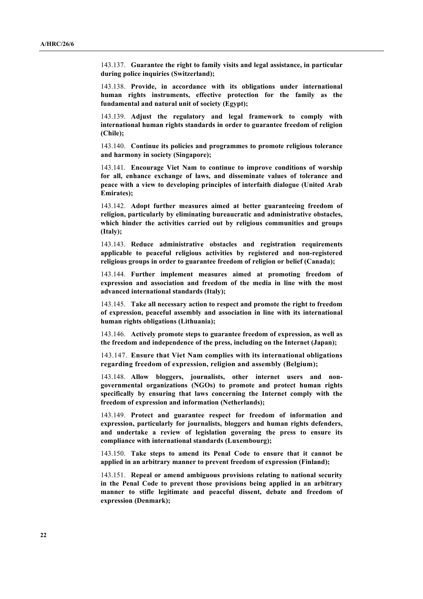143.137. **Guarantee the right to family visits and legal assistance, in particular during police inquiries (Switzerland);**

143.138. **Provide, in accordance with its obligations under international human rights instruments, effective protection for the family as the fundamental and natural unit of society (Egypt);** 

143.139. **Adjust the regulatory and legal framework to comply with international human rights standards in order to guarantee freedom of religion (Chile);**

143.140. **Continue its policies and programmes to promote religious tolerance and harmony in society (Singapore);**

143.141. **Encourage Viet Nam to continue to improve conditions of worship for all, enhance exchange of laws, and disseminate values of tolerance and peace with a view to developing principles of interfaith dialogue (United Arab Emirates);**

143.142. **Adopt further measures aimed at better guaranteeing freedom of religion, particularly by eliminating bureaucratic and administrative obstacles, which hinder the activities carried out by religious communities and groups (Italy);**

143.143. **Reduce administrative obstacles and registration requirements applicable to peaceful religious activities by registered and non-registered religious groups in order to guarantee freedom of religion or belief (Canada);**

143.144. **Further implement measures aimed at promoting freedom of expression and association and freedom of the media in line with the most advanced international standards (Italy);**

143.145. **Take all necessary action to respect and promote the right to freedom of expression, peaceful assembly and association in line with its international human rights obligations (Lithuania);**

143.146. **Actively promote steps to guarantee freedom of expression, as well as the freedom and independence of the press, including on the Internet (Japan);** 

143.147. **Ensure that Viet Nam complies with its international obligations regarding freedom of expression, religion and assembly (Belgium);**

143.148. **Allow bloggers, journalists, other internet users and nongovernmental organizations (NGOs) to promote and protect human rights specifically by ensuring that laws concerning the Internet comply with the freedom of expression and information (Netherlands);**

143.149. **Protect and guarantee respect for freedom of information and expression, particularly for journalists, bloggers and human rights defenders, and undertake a review of legislation governing the press to ensure its compliance with international standards (Luxembourg);**

143.150. **Take steps to amend its Penal Code to ensure that it cannot be applied in an arbitrary manner to prevent freedom of expression (Finland);**

143.151. **Repeal or amend ambiguous provisions relating to national security in the Penal Code to prevent those provisions being applied in an arbitrary manner to stifle legitimate and peaceful dissent, debate and freedom of expression (Denmark);**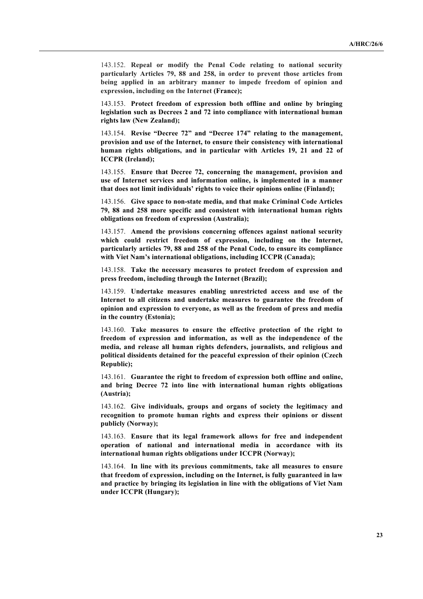143.152. **Repeal or modify the Penal Code relating to national security particularly Articles 79, 88 and 258, in order to prevent those articles from being applied in an arbitrary manner to impede freedom of opinion and expression, including on the Internet (France);**

143.153. **Protect freedom of expression both offline and online by bringing legislation such as Decrees 2 and 72 into compliance with international human rights law (New Zealand);**

143.154. **Revise "Decree 72" and "Decree 174" relating to the management, provision and use of the Internet, to ensure their consistency with international human rights obligations, and in particular with Articles 19, 21 and 22 of ICCPR (Ireland);**

143.155. **Ensure that Decree 72, concerning the management, provision and use of Internet services and information online, is implemented in a manner that does not limit individuals' rights to voice their opinions online (Finland);**

143.156. **Give space to non-state media, and that make Criminal Code Articles 79, 88 and 258 more specific and consistent with international human rights obligations on freedom of expression (Australia);**

143.157. **Amend the provisions concerning offences against national security which could restrict freedom of expression, including on the Internet, particularly articles 79, 88 and 258 of the Penal Code, to ensure its compliance with Viet Nam's international obligations, including ICCPR (Canada);**

143.158. **Take the necessary measures to protect freedom of expression and press freedom, including through the Internet (Brazil);**

143.159. **Undertake measures enabling unrestricted access and use of the Internet to all citizens and undertake measures to guarantee the freedom of opinion and expression to everyone, as well as the freedom of press and media in the country (Estonia);**

143.160. **Take measures to ensure the effective protection of the right to freedom of expression and information, as well as the independence of the media, and release all human rights defenders, journalists, and religious and political dissidents detained for the peaceful expression of their opinion (Czech Republic);**

143.161. **Guarantee the right to freedom of expression both offline and online, and bring Decree 72 into line with international human rights obligations (Austria);**

143.162. **Give individuals, groups and organs of society the legitimacy and recognition to promote human rights and express their opinions or dissent publicly (Norway);**

143.163. **Ensure that its legal framework allows for free and independent operation of national and international media in accordance with its international human rights obligations under ICCPR (Norway);**

143.164. **In line with its previous commitments, take all measures to ensure that freedom of expression, including on the Internet, is fully guaranteed in law and practice by bringing its legislation in line with the obligations of Viet Nam under ICCPR (Hungary);**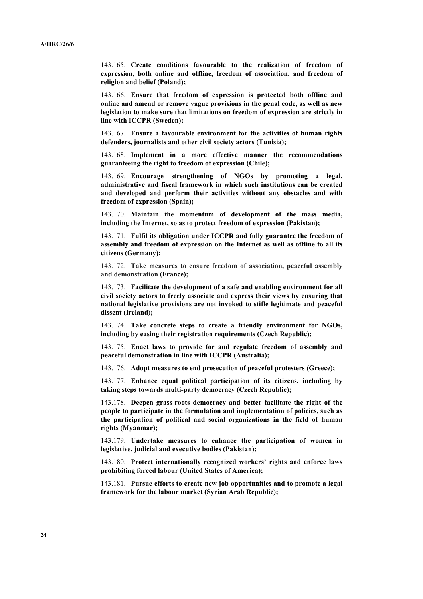143.165. **Create conditions favourable to the realization of freedom of expression, both online and offline, freedom of association, and freedom of religion and belief (Poland);**

143.166. **Ensure that freedom of expression is protected both offline and online and amend or remove vague provisions in the penal code, as well as new legislation to make sure that limitations on freedom of expression are strictly in line with ICCPR (Sweden);**

143.167. **Ensure a favourable environment for the activities of human rights defenders, journalists and other civil society actors (Tunisia);**

143.168. **Implement in a more effective manner the recommendations guaranteeing the right to freedom of expression (Chile);**

143.169. **Encourage strengthening of NGOs by promoting a legal, administrative and fiscal framework in which such institutions can be created and developed and perform their activities without any obstacles and with freedom of expression (Spain);**

143.170. **Maintain the momentum of development of the mass media, including the Internet, so as to protect freedom of expression (Pakistan);**

143.171. **Fulfil its obligation under ICCPR and fully guarantee the freedom of assembly and freedom of expression on the Internet as well as offline to all its citizens (Germany);**

143.172. **Take measures to ensure freedom of association, peaceful assembly and demonstration (France);**

143.173. **Facilitate the development of a safe and enabling environment for all civil society actors to freely associate and express their views by ensuring that national legislative provisions are not invoked to stifle legitimate and peaceful dissent (Ireland);**

143.174. **Take concrete steps to create a friendly environment for NGOs, including by easing their registration requirements (Czech Republic);**

143.175. **Enact laws to provide for and regulate freedom of assembly and peaceful demonstration in line with ICCPR (Australia);**

143.176. **Adopt measures to end prosecution of peaceful protesters (Greece);**

143.177. **Enhance equal political participation of its citizens, including by taking steps towards multi-party democracy (Czech Republic);**

143.178. **Deepen grass-roots democracy and better facilitate the right of the people to participate in the formulation and implementation of policies, such as the participation of political and social organizations in the field of human rights (Myanmar);**

143.179. **Undertake measures to enhance the participation of women in legislative, judicial and executive bodies (Pakistan);**

143.180. **Protect internationally recognized workers' rights and enforce laws prohibiting forced labour (United States of America);**

143.181. **Pursue efforts to create new job opportunities and to promote a legal framework for the labour market (Syrian Arab Republic);**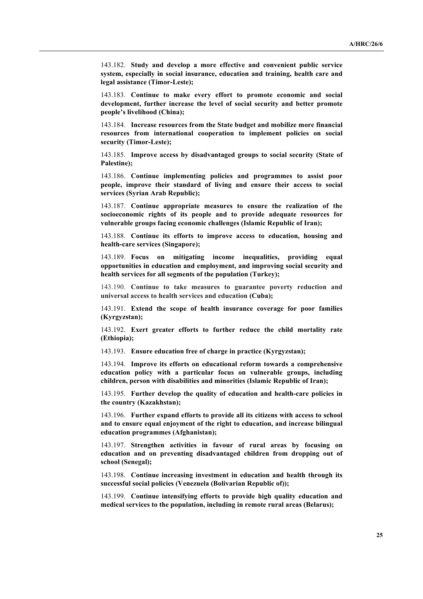143.182. **Study and develop a more effective and convenient public service system, especially in social insurance, education and training, health care and legal assistance (Timor-Leste);**

143.183. **Continue to make every effort to promote economic and social development, further increase the level of social security and better promote people's livelihood (China);**

143.184. **Increase resources from the State budget and mobilize more financial resources from international cooperation to implement policies on social security (Timor-Leste);**

143.185. **Improve access by disadvantaged groups to social security (State of Palestine);**

143.186. **Continue implementing policies and programmes to assist poor people, improve their standard of living and ensure their access to social services (Syrian Arab Republic);**

143.187. **Continue appropriate measures to ensure the realization of the socioeconomic rights of its people and to provide adequate resources for vulnerable groups facing economic challenges (Islamic Republic of Iran);**

143.188. **Continue its efforts to improve access to education, housing and health-care services (Singapore);**

143.189. **Focus on mitigating income inequalities, providing equal opportunities in education and employment, and improving social security and health services for all segments of the population (Turkey);**

143.190. **Continue to take measures to guarantee poverty reduction and universal access to health services and education (Cuba);**

143.191. **Extend the scope of health insurance coverage for poor families (Kyrgyzstan);**

143.192. **Exert greater efforts to further reduce the child mortality rate (Ethiopia);**

143.193. **Ensure education free of charge in practice (Kyrgyzstan);**

143.194. **Improve its efforts on educational reform towards a comprehensive education policy with a particular focus on vulnerable groups, including children, person with disabilities and minorities (Islamic Republic of Iran);**

143.195. **Further develop the quality of education and health-care policies in the country (Kazakhstan);**

143.196. **Further expand efforts to provide all its citizens with access to school and to ensure equal enjoyment of the right to education, and increase bilingual education programmes (Afghanistan);**

143.197. **Strengthen activities in favour of rural areas by focusing on education and on preventing disadvantaged children from dropping out of school (Senegal);**

143.198. **Continue increasing investment in education and health through its successful social policies (Venezuela (Bolivarian Republic of));**

143.199. **Continue intensifying efforts to provide high quality education and medical services to the population, including in remote rural areas (Belarus);**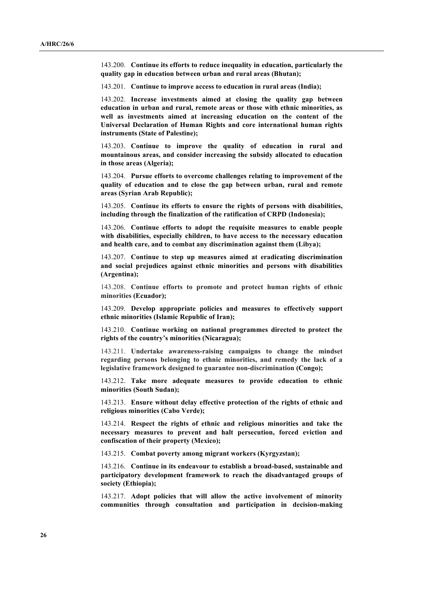143.200. **Continue its efforts to reduce inequality in education, particularly the quality gap in education between urban and rural areas (Bhutan);**

143.201. **Continue to improve access to education in rural areas (India);**

143.202. **Increase investments aimed at closing the quality gap between education in urban and rural, remote areas or those with ethnic minorities, as well as investments aimed at increasing education on the content of the Universal Declaration of Human Rights and core international human rights instruments (State of Palestine);**

143.203. **Continue to improve the quality of education in rural and mountainous areas, and consider increasing the subsidy allocated to education in those areas (Algeria);**

143.204. **Pursue efforts to overcome challenges relating to improvement of the quality of education and to close the gap between urban, rural and remote areas (Syrian Arab Republic);**

143.205. **Continue its efforts to ensure the rights of persons with disabilities, including through the finalization of the ratification of CRPD (Indonesia);**

143.206. **Continue efforts to adopt the requisite measures to enable people with disabilities, especially children, to have access to the necessary education and health care, and to combat any discrimination against them (Libya);** 

143.207. **Continue to step up measures aimed at eradicating discrimination and social prejudices against ethnic minorities and persons with disabilities (Argentina);**

143.208. **Continue efforts to promote and protect human rights of ethnic minorities (Ecuador);**

143.209. **Develop appropriate policies and measures to effectively support ethnic minorities (Islamic Republic of Iran);**

143.210. **Continue working on national programmes directed to protect the rights of the country's minorities (Nicaragua);**

143.211. **Undertake awareness-raising campaigns to change the mindset regarding persons belonging to ethnic minorities, and remedy the lack of a legislative framework designed to guarantee non-discrimination (Congo);**

143.212. **Take more adequate measures to provide education to ethnic minorities (South Sudan);**

143.213. **Ensure without delay effective protection of the rights of ethnic and religious minorities (Cabo Verde);**

143.214. **Respect the rights of ethnic and religious minorities and take the necessary measures to prevent and halt persecution, forced eviction and confiscation of their property (Mexico);**

143.215. **Combat poverty among migrant workers (Kyrgyzstan);**

143.216. **Continue in its endeavour to establish a broad-based, sustainable and participatory development framework to reach the disadvantaged groups of society (Ethiopia);**

143.217. **Adopt policies that will allow the active involvement of minority communities through consultation and participation in decision-making**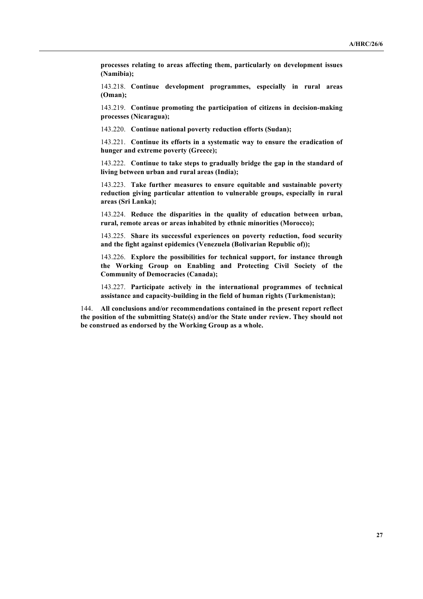**processes relating to areas affecting them, particularly on development issues (Namibia);**

143.218. **Continue development programmes, especially in rural areas (Oman);** 

143.219. **Continue promoting the participation of citizens in decision-making processes (Nicaragua);**

143.220. **Continue national poverty reduction efforts (Sudan);**

143.221. **Continue its efforts in a systematic way to ensure the eradication of hunger and extreme poverty (Greece);**

143.222. **Continue to take steps to gradually bridge the gap in the standard of living between urban and rural areas (India);**

143.223. **Take further measures to ensure equitable and sustainable poverty reduction giving particular attention to vulnerable groups, especially in rural areas (Sri Lanka);**

143.224. **Reduce the disparities in the quality of education between urban, rural, remote areas or areas inhabited by ethnic minorities (Morocco);**

143.225. **Share its successful experiences on poverty reduction, food security and the fight against epidemics (Venezuela (Bolivarian Republic of));**

143.226. **Explore the possibilities for technical support, for instance through the Working Group on Enabling and Protecting Civil Society of the Community of Democracies (Canada);**

143.227. **Participate actively in the international programmes of technical assistance and capacity-building in the field of human rights (Turkmenistan);**

144. **All conclusions and/or recommendations contained in the present report reflect the position of the submitting State(s) and/or the State under review. They should not be construed as endorsed by the Working Group as a whole.**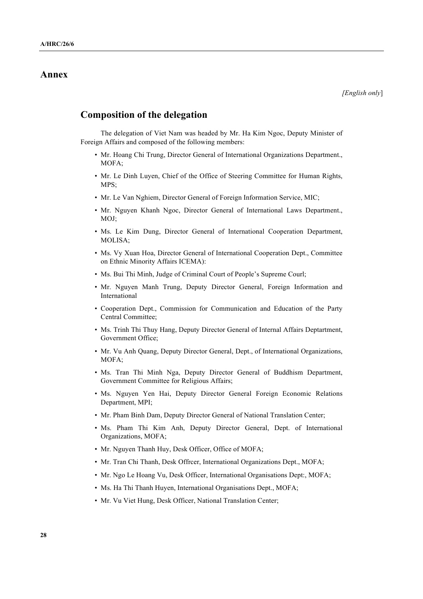# **Annex**

# **Composition of the delegation**

The delegation of Viet Nam was headed by Mr. Ha Kim Ngoc, Deputy Minister of Foreign Affairs and composed of the following members:

- Mr. Hoang Chi Trung, Director General of International Organizations Department., MOFA;
- Mr. Le Dinh Luyen, Chief of the Office of Steering Committee for Human Rights, MPS;
- Mr. Le Van Nghiem, Director General of Foreign Information Service, MIC;
- Mr. Nguyen Khanh Ngoc, Director General of International Laws Department., MOJ;
- Ms. Le Kim Dung, Director General of International Cooperation Department, MOLISA;
- Ms. Vy Xuan Hoa, Director General of International Cooperation Dept., Committee on Ethnic Minority Affairs ICEMA):
- Ms. Bui Thi Minh, Judge of Criminal Court of People's Supreme Courl;
- Mr. Nguyen Manh Trung, Deputy Director General, Foreign Information and International
- Cooperation Dept., Commission for Communication and Education of the Party Central Committee;
- Ms. Trinh Thi Thuy Hang, Deputy Director General of Internal Affairs Deptartment, Government Office;
- Mr. Vu Anh Quang, Deputy Director General, Dept., of International Organizations, MOFA;
- Ms. Tran Thi Minh Nga, Deputy Director General of Buddhism Department, Government Committee for Religious Affairs;
- Ms. Nguyen Yen Hai, Deputy Director General Foreign Economic Relations Department, MPI;
- Mr. Pham Binh Dam, Deputy Director General of National Translation Center;
- Ms. Pham Thi Kim Anh, Deputy Director General, Dept. of International Organizations, MOFA;
- Mr. Nguyen Thanh Huy, Desk Officer, Office of MOFA;
- Mr. Tran Chi Thanh, Desk Offrcer, International Organizations Dept., MOFA;
- Mr. Ngo Le Hoang Vu, Desk Officer, International Organisations Dept:, MOFA;
- Ms. Ha Thi Thanh Huyen, International Organisations Dept., MOFA;
- Mr. Vu Viet Hung, Desk Officer, National Translation Center;